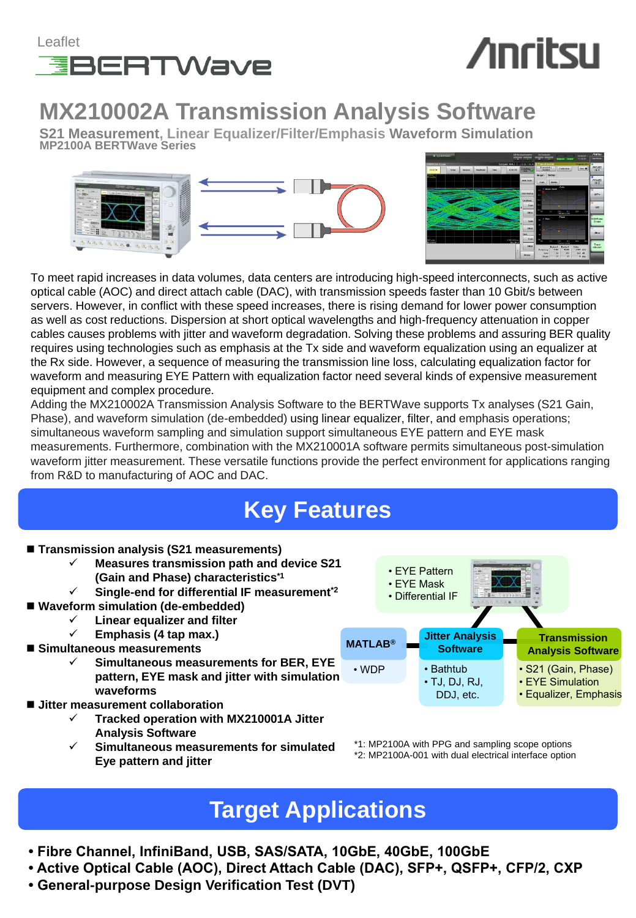

## **Anritsu**

### **MX210002A Transmission Analysis Software**

**S21 Measurement, Linear Equalizer/Filter/Emphasis Waveform Simulation MP2100A BERTWave Series**





To meet rapid increases in data volumes, data centers are introducing high-speed interconnects, such as active optical cable (AOC) and direct attach cable (DAC), with transmission speeds faster than 10 Gbit/s between servers. However, in conflict with these speed increases, there is rising demand for lower power consumption as well as cost reductions. Dispersion at short optical wavelengths and high-frequency attenuation in copper cables causes problems with jitter and waveform degradation. Solving these problems and assuring BER quality requires using technologies such as emphasis at the Tx side and waveform equalization using an equalizer at the Rx side. However, a sequence of measuring the transmission line loss, calculating equalization factor for waveform and measuring EYE Pattern with equalization factor need several kinds of expensive measurement equipment and complex procedure.

Adding the MX210002A Transmission Analysis Software to the BERTWave supports Tx analyses (S21 Gain, Phase), and waveform simulation (de-embedded) using linear equalizer, filter, and emphasis operations; simultaneous waveform sampling and simulation support simultaneous EYE pattern and EYE mask measurements. Furthermore, combination with the MX210001A software permits simultaneous post-simulation waveform jitter measurement. These versatile functions provide the perfect environment for applications ranging from R&D to manufacturing of AOC and DAC.

## **Key Features**

- **Transmission analysis (S21 measurements)**
	- **Measures transmission path and device S21 (Gain and Phase) characteristics\*1**
	- **Single-end for differential IF measurement\*2**
- **Waveform simulation (de-embedded)**
	- **Linear equalizer and filter**
	- **Emphasis (4 tap max.)**
- **Simultaneous measurements**
	- **Simultaneous measurements for BER, EYE pattern, EYE mask and jitter with simulation waveforms**
- Jitter measurement collaboration
	- **Tracked operation with MX210001A Jitter Analysis Software**
	- **Simultaneous measurements for simulated Eye pattern and jitter**



\*1: MP2100A with PPG and sampling scope options \*2: MP2100A-001 with dual electrical interface option

### **Target Applications**

- **Fibre Channel, InfiniBand, USB, SAS/SATA, 10GbE, 40GbE, 100GbE**
- **Active Optical Cable (AOC), Direct Attach Cable (DAC), SFP+, QSFP+, CFP/2, CXP**
- **General-purpose Design Verification Test (DVT)**